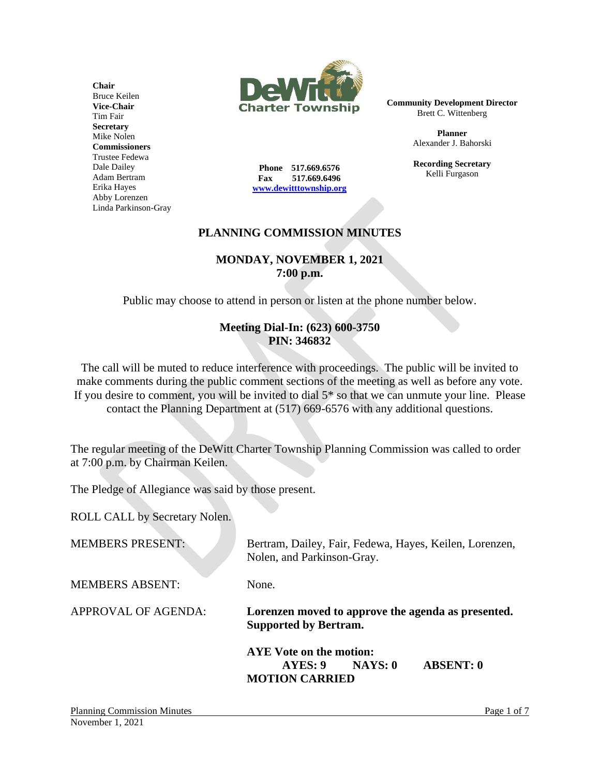

**Community Development Director** Brett C. Wittenberg

> **Planner** Alexander J. Bahorski

> **Recording Secretary** Kelli Furgason

**Phone 517.669.6576 Fax 517.669.6496 [www.dewitttownship.org](http://www.dewitttownship.org/)**

# **PLANNING COMMISSION MINUTES**

#### **MONDAY, NOVEMBER 1, 2021 7:00 p.m.**

Public may choose to attend in person or listen at the phone number below.

### **Meeting Dial-In: (623) 600-3750 PIN: 346832**

The call will be muted to reduce interference with proceedings. The public will be invited to make comments during the public comment sections of the meeting as well as before any vote. If you desire to comment, you will be invited to dial 5\* so that we can unmute your line. Please contact the Planning Department at (517) 669-6576 with any additional questions.

The regular meeting of the DeWitt Charter Township Planning Commission was called to order at 7:00 p.m. by Chairman Keilen.

The Pledge of Allegiance was said by those present.

ROLL CALL by Secretary Nolen.

| <b>MEMBERS PRESENT:</b> | Bertram, Dailey, Fair, Fedewa, Hayes, Keilen, Lorenzen,<br>Nolen, and Parkinson-Gray.      |
|-------------------------|--------------------------------------------------------------------------------------------|
| <b>MEMBERS ABSENT:</b>  | None.                                                                                      |
| APPROVAL OF AGENDA:     | Lorenzen moved to approve the agenda as presented.<br><b>Supported by Bertram.</b>         |
|                         | AYE Vote on the motion:<br><b>ABSENT: 0</b><br>NAYS: 0<br>AYES: 9<br><b>MOTION CARRIED</b> |

**Chair** Bruce Keilen **Vice-Chair** Tim Fair **Secretary** Mike Nolen **Commissioners** Trustee Fedewa Dale Dailey Adam Bertram Erika Hayes Abby Lorenzen Linda Parkinson-Gray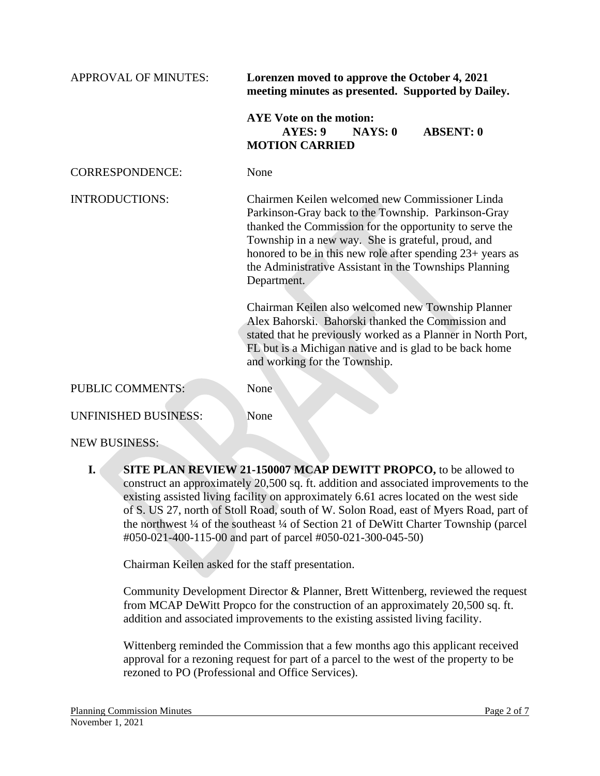| <b>APPROVAL OF MINUTES:</b> | Lorenzen moved to approve the October 4, 2021<br>meeting minutes as presented. Supported by Dailey.                                                                                                                                                                                                                                                                                                                                                                                                                                                                                                                                    |
|-----------------------------|----------------------------------------------------------------------------------------------------------------------------------------------------------------------------------------------------------------------------------------------------------------------------------------------------------------------------------------------------------------------------------------------------------------------------------------------------------------------------------------------------------------------------------------------------------------------------------------------------------------------------------------|
|                             | <b>AYE</b> Vote on the motion:<br>AYES: 9<br>NAYS: 0<br><b>ABSENT: 0</b><br><b>MOTION CARRIED</b>                                                                                                                                                                                                                                                                                                                                                                                                                                                                                                                                      |
| <b>CORRESPONDENCE:</b>      | None                                                                                                                                                                                                                                                                                                                                                                                                                                                                                                                                                                                                                                   |
| <b>INTRODUCTIONS:</b>       | Chairmen Keilen welcomed new Commissioner Linda<br>Parkinson-Gray back to the Township. Parkinson-Gray<br>thanked the Commission for the opportunity to serve the<br>Township in a new way. She is grateful, proud, and<br>honored to be in this new role after spending 23+ years as<br>the Administrative Assistant in the Townships Planning<br>Department.<br>Chairman Keilen also welcomed new Township Planner<br>Alex Bahorski. Bahorski thanked the Commission and<br>stated that he previously worked as a Planner in North Port,<br>FL but is a Michigan native and is glad to be back home<br>and working for the Township. |
| <b>PUBLIC COMMENTS:</b>     | None                                                                                                                                                                                                                                                                                                                                                                                                                                                                                                                                                                                                                                   |
| <b>UNFINISHED BUSINESS:</b> | None                                                                                                                                                                                                                                                                                                                                                                                                                                                                                                                                                                                                                                   |

NEW BUSINESS:

**I. SITE PLAN REVIEW 21-150007 MCAP DEWITT PROPCO,** to be allowed to construct an approximately 20,500 sq. ft. addition and associated improvements to the existing assisted living facility on approximately 6.61 acres located on the west side of S. US 27, north of Stoll Road, south of W. Solon Road, east of Myers Road, part of the northwest ¼ of the southeast ¼ of Section 21 of DeWitt Charter Township (parcel #050-021-400-115-00 and part of parcel #050-021-300-045-50)

Chairman Keilen asked for the staff presentation.

Community Development Director & Planner, Brett Wittenberg, reviewed the request from MCAP DeWitt Propco for the construction of an approximately 20,500 sq. ft. addition and associated improvements to the existing assisted living facility.

Wittenberg reminded the Commission that a few months ago this applicant received approval for a rezoning request for part of a parcel to the west of the property to be rezoned to PO (Professional and Office Services).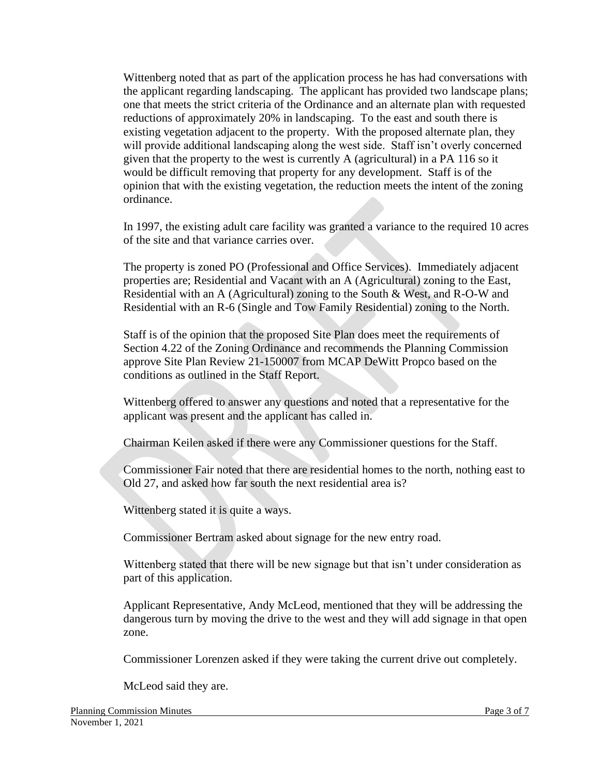Wittenberg noted that as part of the application process he has had conversations with the applicant regarding landscaping. The applicant has provided two landscape plans; one that meets the strict criteria of the Ordinance and an alternate plan with requested reductions of approximately 20% in landscaping. To the east and south there is existing vegetation adjacent to the property. With the proposed alternate plan, they will provide additional landscaping along the west side. Staff isn't overly concerned given that the property to the west is currently A (agricultural) in a PA 116 so it would be difficult removing that property for any development. Staff is of the opinion that with the existing vegetation, the reduction meets the intent of the zoning ordinance.

In 1997, the existing adult care facility was granted a variance to the required 10 acres of the site and that variance carries over.

The property is zoned PO (Professional and Office Services). Immediately adjacent properties are; Residential and Vacant with an A (Agricultural) zoning to the East, Residential with an A (Agricultural) zoning to the South & West, and R-O-W and Residential with an R-6 (Single and Tow Family Residential) zoning to the North.

Staff is of the opinion that the proposed Site Plan does meet the requirements of Section 4.22 of the Zoning Ordinance and recommends the Planning Commission approve Site Plan Review 21-150007 from MCAP DeWitt Propco based on the conditions as outlined in the Staff Report.

Wittenberg offered to answer any questions and noted that a representative for the applicant was present and the applicant has called in.

Chairman Keilen asked if there were any Commissioner questions for the Staff.

Commissioner Fair noted that there are residential homes to the north, nothing east to Old 27, and asked how far south the next residential area is?

Wittenberg stated it is quite a ways.

Commissioner Bertram asked about signage for the new entry road.

Wittenberg stated that there will be new signage but that isn't under consideration as part of this application.

Applicant Representative, Andy McLeod, mentioned that they will be addressing the dangerous turn by moving the drive to the west and they will add signage in that open zone.

Commissioner Lorenzen asked if they were taking the current drive out completely.

McLeod said they are.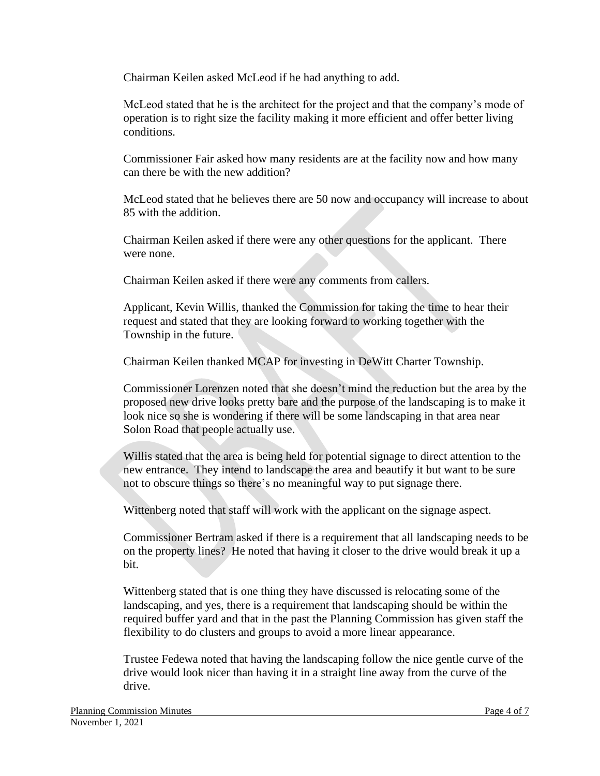Chairman Keilen asked McLeod if he had anything to add.

McLeod stated that he is the architect for the project and that the company's mode of operation is to right size the facility making it more efficient and offer better living conditions.

Commissioner Fair asked how many residents are at the facility now and how many can there be with the new addition?

McLeod stated that he believes there are 50 now and occupancy will increase to about 85 with the addition.

Chairman Keilen asked if there were any other questions for the applicant. There were none.

Chairman Keilen asked if there were any comments from callers.

Applicant, Kevin Willis, thanked the Commission for taking the time to hear their request and stated that they are looking forward to working together with the Township in the future.

Chairman Keilen thanked MCAP for investing in DeWitt Charter Township.

Commissioner Lorenzen noted that she doesn't mind the reduction but the area by the proposed new drive looks pretty bare and the purpose of the landscaping is to make it look nice so she is wondering if there will be some landscaping in that area near Solon Road that people actually use.

Willis stated that the area is being held for potential signage to direct attention to the new entrance. They intend to landscape the area and beautify it but want to be sure not to obscure things so there's no meaningful way to put signage there.

Wittenberg noted that staff will work with the applicant on the signage aspect.

Commissioner Bertram asked if there is a requirement that all landscaping needs to be on the property lines? He noted that having it closer to the drive would break it up a bit.

Wittenberg stated that is one thing they have discussed is relocating some of the landscaping, and yes, there is a requirement that landscaping should be within the required buffer yard and that in the past the Planning Commission has given staff the flexibility to do clusters and groups to avoid a more linear appearance.

Trustee Fedewa noted that having the landscaping follow the nice gentle curve of the drive would look nicer than having it in a straight line away from the curve of the drive.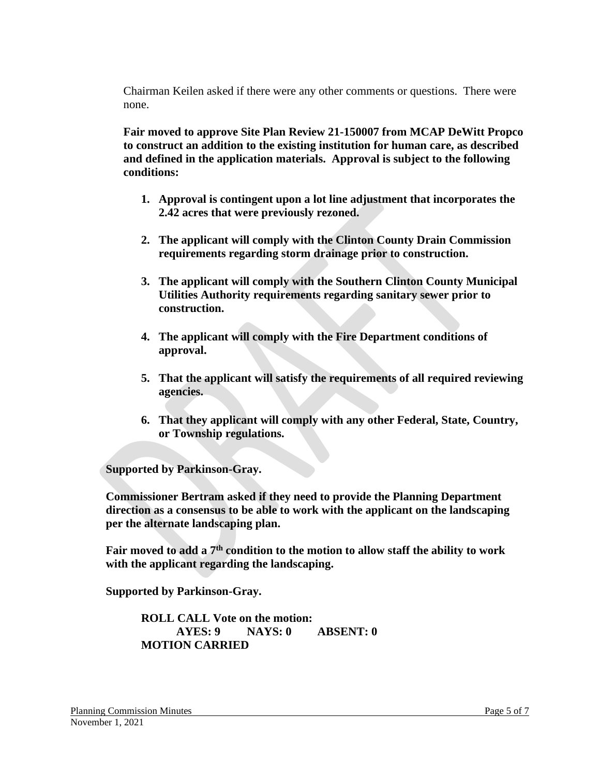Chairman Keilen asked if there were any other comments or questions. There were none.

**Fair moved to approve Site Plan Review 21-150007 from MCAP DeWitt Propco to construct an addition to the existing institution for human care, as described and defined in the application materials. Approval is subject to the following conditions:**

- **1. Approval is contingent upon a lot line adjustment that incorporates the 2.42 acres that were previously rezoned.**
- **2. The applicant will comply with the Clinton County Drain Commission requirements regarding storm drainage prior to construction.**
- **3. The applicant will comply with the Southern Clinton County Municipal Utilities Authority requirements regarding sanitary sewer prior to construction.**
- **4. The applicant will comply with the Fire Department conditions of approval.**
- **5. That the applicant will satisfy the requirements of all required reviewing agencies.**
- **6. That they applicant will comply with any other Federal, State, Country, or Township regulations.**

**Supported by Parkinson-Gray.**

**Commissioner Bertram asked if they need to provide the Planning Department direction as a consensus to be able to work with the applicant on the landscaping per the alternate landscaping plan.**

**Fair moved to add a 7th condition to the motion to allow staff the ability to work with the applicant regarding the landscaping.**

**Supported by Parkinson-Gray.**

**ROLL CALL Vote on the motion: AYES: 9 NAYS: 0 ABSENT: 0 MOTION CARRIED**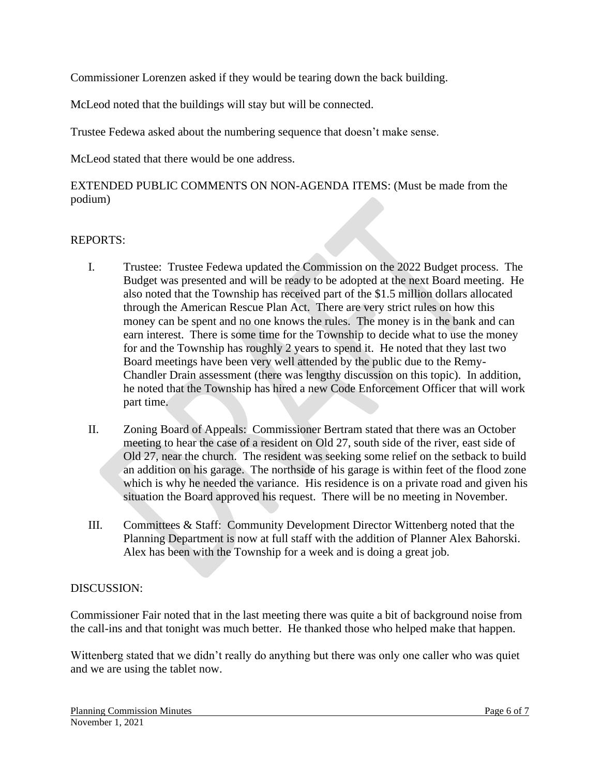Commissioner Lorenzen asked if they would be tearing down the back building.

McLeod noted that the buildings will stay but will be connected.

Trustee Fedewa asked about the numbering sequence that doesn't make sense.

McLeod stated that there would be one address.

EXTENDED PUBLIC COMMENTS ON NON-AGENDA ITEMS: (Must be made from the podium)

## REPORTS:

- I. Trustee: Trustee Fedewa updated the Commission on the 2022 Budget process. The Budget was presented and will be ready to be adopted at the next Board meeting. He also noted that the Township has received part of the \$1.5 million dollars allocated through the American Rescue Plan Act. There are very strict rules on how this money can be spent and no one knows the rules. The money is in the bank and can earn interest. There is some time for the Township to decide what to use the money for and the Township has roughly 2 years to spend it. He noted that they last two Board meetings have been very well attended by the public due to the Remy-Chandler Drain assessment (there was lengthy discussion on this topic). In addition, he noted that the Township has hired a new Code Enforcement Officer that will work part time.
- II. Zoning Board of Appeals: Commissioner Bertram stated that there was an October meeting to hear the case of a resident on Old 27, south side of the river, east side of Old 27, near the church. The resident was seeking some relief on the setback to build an addition on his garage. The northside of his garage is within feet of the flood zone which is why he needed the variance. His residence is on a private road and given his situation the Board approved his request. There will be no meeting in November.
- III. Committees & Staff: Community Development Director Wittenberg noted that the Planning Department is now at full staff with the addition of Planner Alex Bahorski. Alex has been with the Township for a week and is doing a great job.

### DISCUSSION:

Commissioner Fair noted that in the last meeting there was quite a bit of background noise from the call-ins and that tonight was much better. He thanked those who helped make that happen.

Wittenberg stated that we didn't really do anything but there was only one caller who was quiet and we are using the tablet now.